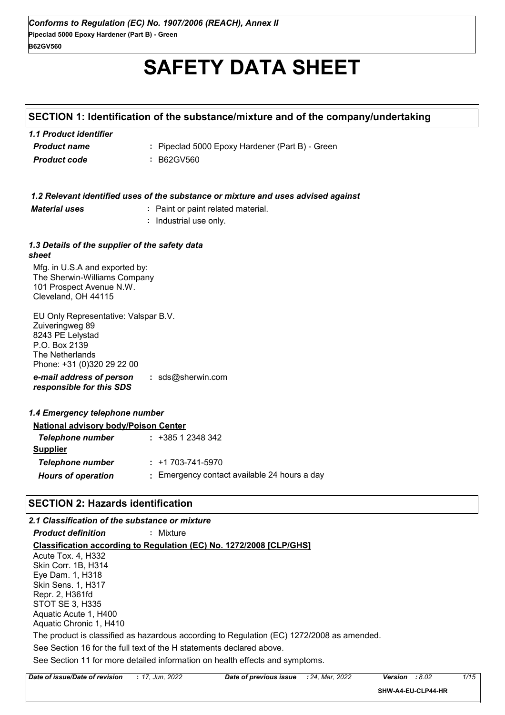# **SAFETY DATA SHEET**

## **SECTION 1: Identification of the substance/mixture and of the company/undertaking**

| 1.1 Product identifier |                                                 |
|------------------------|-------------------------------------------------|
| <b>Product name</b>    | : Pipeclad 5000 Epoxy Hardener (Part B) - Green |
| <b>Product code</b>    | : B62GV560                                      |

|                                                                                                                                               | 1.2 Relevant identified uses of the substance or mixture and uses advised against |
|-----------------------------------------------------------------------------------------------------------------------------------------------|-----------------------------------------------------------------------------------|
| <b>Material uses</b>                                                                                                                          | : Paint or paint related material.                                                |
|                                                                                                                                               | Industrial use only.                                                              |
| 1.3 Details of the supplier of the safety data<br>sheet                                                                                       |                                                                                   |
| Mfg. in U.S.A and exported by:<br>The Sherwin-Williams Company<br>101 Prospect Avenue N.W.<br>Cleveland, OH 44115                             |                                                                                   |
| EU Only Representative: Valspar B.V.<br>Zuiveringweg 89<br>8243 PE Lelystad<br>P.O. Box 2139<br>The Netherlands<br>Phone: +31 (0)320 29 22 00 |                                                                                   |
| e-mail address of person<br>responsible for this SDS                                                                                          | : $sds@sherwin.com$                                                               |
| 1.4 Emergency telephone number                                                                                                                |                                                                                   |
| <b>National advisory body/Poison Center</b>                                                                                                   |                                                                                   |
| Telephone number                                                                                                                              | $: +38512348342$                                                                  |
| <b>Supplier</b>                                                                                                                               |                                                                                   |
| <b>Telephone number</b>                                                                                                                       | $: +1703 - 741 - 5970$                                                            |
| <b>Hours of operation</b>                                                                                                                     | : Emergency contact available 24 hours a day                                      |
| <b>SECTION 2: Hazards identification</b>                                                                                                      |                                                                                   |

### *2.1 Classification of the substance or mixture*

*Product definition* **:** Mixture

**Classification according to Regulation (EC) No. 1272/2008 [CLP/GHS]**

See Section 11 for more detailed information on health effects and symptoms. See Section 16 for the full text of the H statements declared above. Acute Tox. 4, H332 Skin Corr. 1B, H314 Eye Dam. 1, H318 Skin Sens. 1, H317 Repr. 2, H361fd STOT SE 3, H335 Aquatic Acute 1, H400 Aquatic Chronic 1, H410 The product is classified as hazardous according to Regulation (EC) 1272/2008 as amended.

| <b>Date</b><br>nnnr<br>of issue/Date<br>Date<br>of previous<br>e of revision :<br><b>ISSUE</b><br>Jun<br>2027 | 2022<br>Mar<br>24 | $\sim$<br>Version<br>O.UZ | 1/15<br>ں ، |
|---------------------------------------------------------------------------------------------------------------|-------------------|---------------------------|-------------|
|---------------------------------------------------------------------------------------------------------------|-------------------|---------------------------|-------------|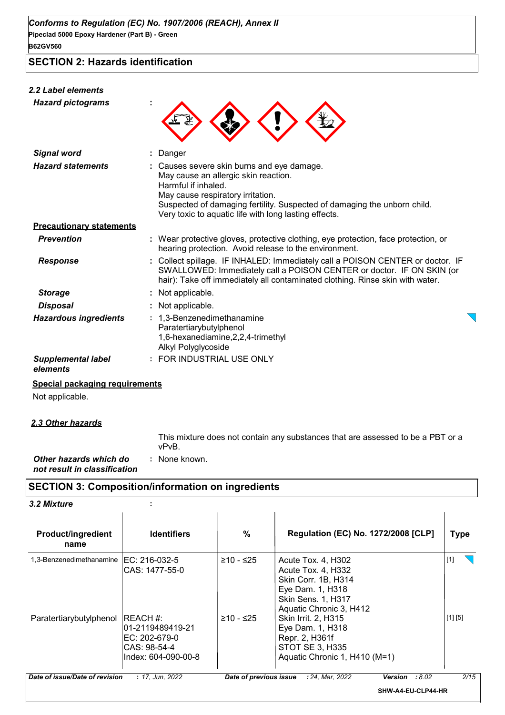**SECTION 2: Hazards identification**

## *2.2 Label elements*

| <b>Hazard pictograms</b>              |                                                                                                                                                                                                                                                                                   |
|---------------------------------------|-----------------------------------------------------------------------------------------------------------------------------------------------------------------------------------------------------------------------------------------------------------------------------------|
| <b>Signal word</b>                    | Danger                                                                                                                                                                                                                                                                            |
| <b>Hazard statements</b>              | Causes severe skin burns and eye damage.<br>May cause an allergic skin reaction.<br>Harmful if inhaled.<br>May cause respiratory irritation.<br>Suspected of damaging fertility. Suspected of damaging the unborn child.<br>Very toxic to aquatic life with long lasting effects. |
| <b>Precautionary statements</b>       |                                                                                                                                                                                                                                                                                   |
| <b>Prevention</b>                     | : Wear protective gloves, protective clothing, eye protection, face protection, or<br>hearing protection. Avoid release to the environment.                                                                                                                                       |
| <b>Response</b>                       | Collect spillage. IF INHALED: Immediately call a POISON CENTER or doctor. IF<br>SWALLOWED: Immediately call a POISON CENTER or doctor. IF ON SKIN (or<br>hair): Take off immediately all contaminated clothing. Rinse skin with water.                                            |
| <b>Storage</b>                        | : Not applicable.                                                                                                                                                                                                                                                                 |
| <b>Disposal</b>                       | Not applicable.                                                                                                                                                                                                                                                                   |
| <b>Hazardous ingredients</b>          | 1,3-Benzenedimethanamine<br>Paratertiarybutylphenol<br>1,6-hexanediamine, 2, 2, 4-trimethyl<br>Alkyl Polyglycoside                                                                                                                                                                |
| <b>Supplemental label</b><br>elements | : FOR INDUSTRIAL USE ONLY                                                                                                                                                                                                                                                         |

#### **Special packaging requirements**

Not applicable.

*2.3 Other hazards*

This mixture does not contain any substances that are assessed to be a PBT or a vPvB.

*Other hazards which do* **:** *not result in classification* : None known.

## **SECTION 3: Composition/information on ingredients**

| <b>Product/ingredient</b><br>name | <b>Identifiers</b>                                                                    | %           | Regulation (EC) No. 1272/2008 [CLP]                                                                                                  | <b>Type</b> |
|-----------------------------------|---------------------------------------------------------------------------------------|-------------|--------------------------------------------------------------------------------------------------------------------------------------|-------------|
| 1,3-Benzenedimethanamine          | EC: 216-032-5<br>CAS: 1477-55-0                                                       | ≥10 - ≤25   | Acute Tox. 4, H302<br>Acute Tox. 4, H332<br>Skin Corr. 1B, H314<br>Eye Dam. 1, H318<br>Skin Sens. 1, H317<br>Aquatic Chronic 3, H412 | $[1]$       |
| Paratertiarybutylphenol           | IREACH#:<br>l01-2119489419-21<br>EC: 202-679-0<br>CAS: 98-54-4<br>Index: 604-090-00-8 | $≥10 - ≤25$ | Skin Irrit. 2, H315<br>Eye Dam. 1, H318<br>Repr. 2, H361f<br>STOT SE 3, H335<br>Aquatic Chronic 1, H410 (M=1)                        | [1] [5]     |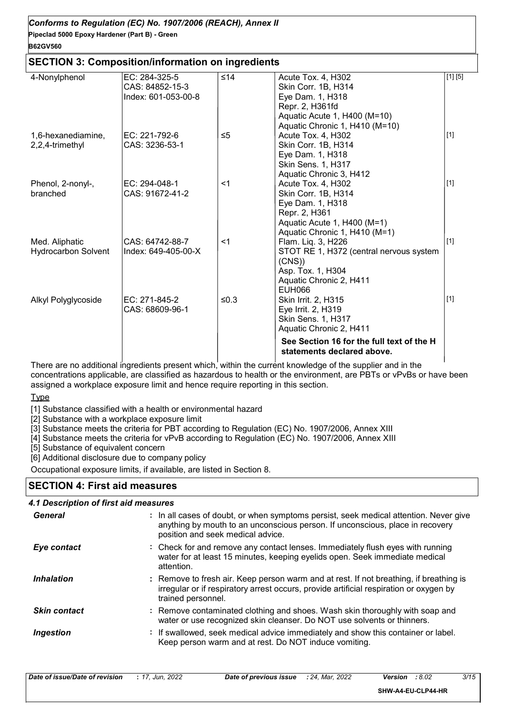#### **SECTION 3: Composition/information on ingredients**

| 4-Nonylphenol              | EC: 284-325-5       | ≤14      | Acute Tox. 4, H302                        | [1] [5]     |
|----------------------------|---------------------|----------|-------------------------------------------|-------------|
|                            | CAS: 84852-15-3     |          | Skin Corr. 1B, H314                       |             |
|                            | Index: 601-053-00-8 |          | Eye Dam. 1, H318                          |             |
|                            |                     |          | Repr. 2, H361fd                           |             |
|                            |                     |          | Aquatic Acute 1, H400 (M=10)              |             |
|                            |                     |          | Aquatic Chronic 1, H410 (M=10)            |             |
| 1,6-hexanediamine,         | EC: 221-792-6       | $\leq 5$ | Acute Tox. 4, H302                        | $[1]$       |
| 2,2,4-trimethyl            | CAS: 3236-53-1      |          | Skin Corr. 1B, H314                       |             |
|                            |                     |          | Eye Dam. 1, H318                          |             |
|                            |                     |          | Skin Sens. 1, H317                        |             |
|                            |                     |          | Aquatic Chronic 3, H412                   |             |
| Phenol, 2-nonyl-,          | EC: 294-048-1       | $<$ 1    | Acute Tox. 4, H302                        | $[1]$       |
| branched                   | CAS: 91672-41-2     |          | Skin Corr. 1B, H314                       |             |
|                            |                     |          | Eye Dam. 1, H318                          |             |
|                            |                     |          | Repr. 2, H361                             |             |
|                            |                     |          | Aquatic Acute 1, H400 (M=1)               |             |
|                            |                     |          | Aquatic Chronic 1, H410 (M=1)             |             |
| Med. Aliphatic             | CAS: 64742-88-7     | $<$ 1    | Flam. Liq. 3, H226                        | $[1]$       |
| <b>Hydrocarbon Solvent</b> | Index: 649-405-00-X |          | STOT RE 1, H372 (central nervous system   |             |
|                            |                     |          | (CNS)                                     |             |
|                            |                     |          | Asp. Tox. 1, H304                         |             |
|                            |                     |          | Aquatic Chronic 2, H411                   |             |
|                            |                     |          | <b>EUH066</b>                             |             |
| Alkyl Polyglycoside        | EC: 271-845-2       | ≤0.3     | <b>Skin Irrit. 2, H315</b>                | $\vert$ [1] |
|                            | CAS: 68609-96-1     |          | Eye Irrit. 2, H319                        |             |
|                            |                     |          | Skin Sens. 1, H317                        |             |
|                            |                     |          | Aquatic Chronic 2, H411                   |             |
|                            |                     |          | See Section 16 for the full text of the H |             |
|                            |                     |          | statements declared above.                |             |

There are no additional ingredients present which, within the current knowledge of the supplier and in the concentrations applicable, are classified as hazardous to health or the environment, are PBTs or vPvBs or have been assigned a workplace exposure limit and hence require reporting in this section.

Type

[1] Substance classified with a health or environmental hazard

[2] Substance with a workplace exposure limit

[3] Substance meets the criteria for PBT according to Regulation (EC) No. 1907/2006, Annex XIII

[4] Substance meets the criteria for vPvB according to Regulation (EC) No. 1907/2006, Annex XIII

[5] Substance of equivalent concern

[6] Additional disclosure due to company policy

Occupational exposure limits, if available, are listed in Section 8.

#### **SECTION 4: First aid measures**

| 4.1 Description of first aid measures |                                                                                                                                                                                                             |
|---------------------------------------|-------------------------------------------------------------------------------------------------------------------------------------------------------------------------------------------------------------|
| General                               | : In all cases of doubt, or when symptoms persist, seek medical attention. Never give<br>anything by mouth to an unconscious person. If unconscious, place in recovery<br>position and seek medical advice. |
| Eye contact                           | : Check for and remove any contact lenses. Immediately flush eyes with running<br>water for at least 15 minutes, keeping eyelids open. Seek immediate medical<br>attention.                                 |
| <b>Inhalation</b>                     | : Remove to fresh air. Keep person warm and at rest. If not breathing, if breathing is<br>irregular or if respiratory arrest occurs, provide artificial respiration or oxygen by<br>trained personnel.      |
| <b>Skin contact</b>                   | : Remove contaminated clothing and shoes. Wash skin thoroughly with soap and<br>water or use recognized skin cleanser. Do NOT use solvents or thinners.                                                     |
| Ingestion                             | : If swallowed, seek medical advice immediately and show this container or label.<br>Keep person warm and at rest. Do NOT induce vomiting.                                                                  |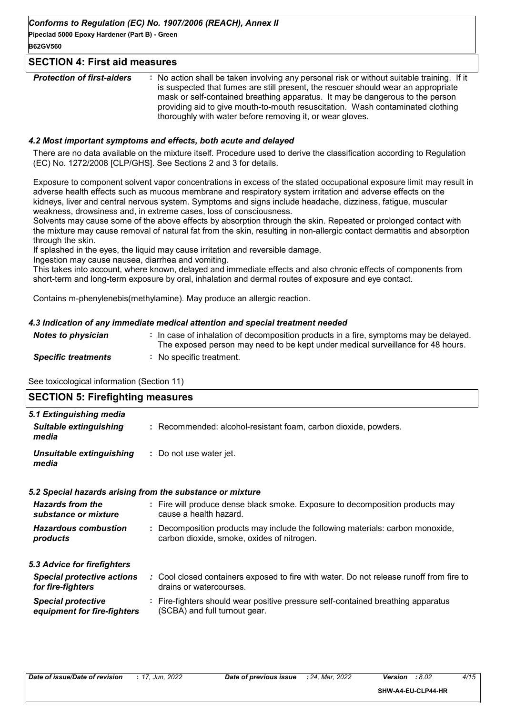**Pipeclad 5000 Epoxy Hardener (Part B) - Green B62GV560**

#### **SECTION 4: First aid measures**

| thoroughly with water before removing it, or wear gloves. | <b>Protection of first-aiders</b> | : No action shall be taken involving any personal risk or without suitable training. If it<br>is suspected that fumes are still present, the rescuer should wear an appropriate<br>mask or self-contained breathing apparatus. It may be dangerous to the person<br>providing aid to give mouth-to-mouth resuscitation. Wash contaminated clothing |
|-----------------------------------------------------------|-----------------------------------|----------------------------------------------------------------------------------------------------------------------------------------------------------------------------------------------------------------------------------------------------------------------------------------------------------------------------------------------------|
|-----------------------------------------------------------|-----------------------------------|----------------------------------------------------------------------------------------------------------------------------------------------------------------------------------------------------------------------------------------------------------------------------------------------------------------------------------------------------|

#### *4.2 Most important symptoms and effects, both acute and delayed*

There are no data available on the mixture itself. Procedure used to derive the classification according to Regulation (EC) No. 1272/2008 [CLP/GHS]. See Sections 2 and 3 for details.

Exposure to component solvent vapor concentrations in excess of the stated occupational exposure limit may result in adverse health effects such as mucous membrane and respiratory system irritation and adverse effects on the kidneys, liver and central nervous system. Symptoms and signs include headache, dizziness, fatigue, muscular weakness, drowsiness and, in extreme cases, loss of consciousness.

Solvents may cause some of the above effects by absorption through the skin. Repeated or prolonged contact with the mixture may cause removal of natural fat from the skin, resulting in non-allergic contact dermatitis and absorption through the skin.

If splashed in the eyes, the liquid may cause irritation and reversible damage.

Ingestion may cause nausea, diarrhea and vomiting.

This takes into account, where known, delayed and immediate effects and also chronic effects of components from short-term and long-term exposure by oral, inhalation and dermal routes of exposure and eye contact.

Contains m-phenylenebis(methylamine). May produce an allergic reaction.

#### *4.3 Indication of any immediate medical attention and special treatment needed*

| <b>Notes to physician</b>  | : In case of inhalation of decomposition products in a fire, symptoms may be delayed.<br>The exposed person may need to be kept under medical surveillance for 48 hours. |
|----------------------------|--------------------------------------------------------------------------------------------------------------------------------------------------------------------------|
| <b>Specific treatments</b> | : No specific treatment.                                                                                                                                                 |

See toxicological information (Section 11)

| <b>SECTION 5: Firefighting measures</b>                           |                                                                                                                              |
|-------------------------------------------------------------------|------------------------------------------------------------------------------------------------------------------------------|
| 5.1 Extinguishing media<br><b>Suitable extinguishing</b><br>media | : Recommended: alcohol-resistant foam, carbon dioxide, powders.                                                              |
| Unsuitable extinguishing<br>media                                 | : Do not use water jet.                                                                                                      |
|                                                                   | 5.2 Special hazards arising from the substance or mixture                                                                    |
| <b>Hazards from the</b><br>substance or mixture                   | : Fire will produce dense black smoke. Exposure to decomposition products may<br>cause a health hazard.                      |
| <b>Hazardous combustion</b><br>products                           | : Decomposition products may include the following materials: carbon monoxide,<br>carbon dioxide, smoke, oxides of nitrogen. |
| 5.3 Advice for firefighters                                       |                                                                                                                              |
| <b>Special protective actions</b><br>for fire-fighters            | : Cool closed containers exposed to fire with water. Do not release runoff from fire to<br>drains or watercourses.           |
| <b>Special protective</b><br>equipment for fire-fighters          | : Fire-fighters should wear positive pressure self-contained breathing apparatus<br>(SCBA) and full turnout gear.            |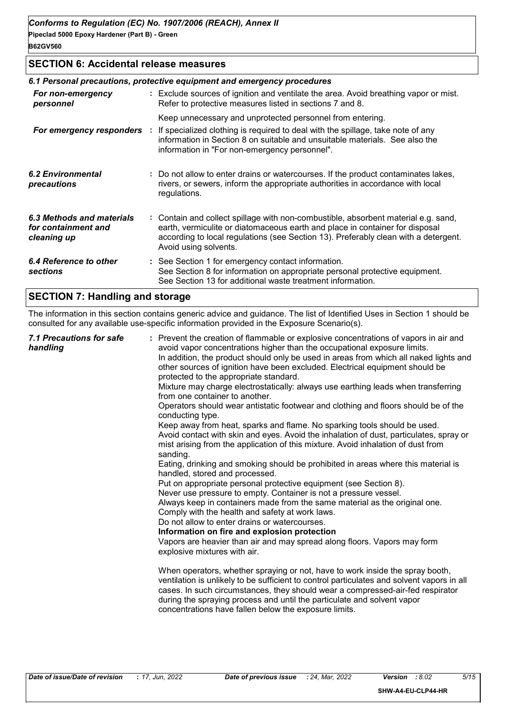#### **SECTION 6: Accidental release measures**

|                                                                 | 6.1 Personal precautions, protective equipment and emergency procedures                                                                                                                                                                                                            |
|-----------------------------------------------------------------|------------------------------------------------------------------------------------------------------------------------------------------------------------------------------------------------------------------------------------------------------------------------------------|
| For non-emergency<br>personnel                                  | : Exclude sources of ignition and ventilate the area. Avoid breathing vapor or mist.<br>Refer to protective measures listed in sections 7 and 8.                                                                                                                                   |
|                                                                 | Keep unnecessary and unprotected personnel from entering.                                                                                                                                                                                                                          |
| For emergency responders :                                      | If specialized clothing is required to deal with the spillage, take note of any<br>information in Section 8 on suitable and unsuitable materials. See also the<br>information in "For non-emergency personnel".                                                                    |
| <b>6.2 Environmental</b><br>precautions                         | : Do not allow to enter drains or watercourses. If the product contaminates lakes,<br>rivers, or sewers, inform the appropriate authorities in accordance with local<br>regulations.                                                                                               |
| 6.3 Methods and materials<br>for containment and<br>cleaning up | : Contain and collect spillage with non-combustible, absorbent material e.g. sand,<br>earth, vermiculite or diatomaceous earth and place in container for disposal<br>according to local regulations (see Section 13). Preferably clean with a detergent.<br>Avoid using solvents. |
| 6.4 Reference to other<br>sections                              | : See Section 1 for emergency contact information.<br>See Section 8 for information on appropriate personal protective equipment.<br>See Section 13 for additional waste treatment information.                                                                                    |
|                                                                 |                                                                                                                                                                                                                                                                                    |

## **SECTION 7: Handling and storage**

The information in this section contains generic advice and guidance. The list of Identified Uses in Section 1 should be consulted for any available use-specific information provided in the Exposure Scenario(s).

|  | 7.1 Precautions for safe<br>handling | : Prevent the creation of flammable or explosive concentrations of vapors in air and<br>avoid vapor concentrations higher than the occupational exposure limits.<br>In addition, the product should only be used in areas from which all naked lights and<br>other sources of ignition have been excluded. Electrical equipment should be<br>protected to the appropriate standard.<br>Mixture may charge electrostatically: always use earthing leads when transferring<br>from one container to another.<br>Operators should wear antistatic footwear and clothing and floors should be of the<br>conducting type.<br>Keep away from heat, sparks and flame. No sparking tools should be used.<br>Avoid contact with skin and eyes. Avoid the inhalation of dust, particulates, spray or<br>mist arising from the application of this mixture. Avoid inhalation of dust from<br>sanding.<br>Eating, drinking and smoking should be prohibited in areas where this material is<br>handled, stored and processed.<br>Put on appropriate personal protective equipment (see Section 8).<br>Never use pressure to empty. Container is not a pressure vessel.<br>Always keep in containers made from the same material as the original one.<br>Comply with the health and safety at work laws.<br>Do not allow to enter drains or watercourses.<br>Information on fire and explosion protection<br>Vapors are heavier than air and may spread along floors. Vapors may form<br>explosive mixtures with air.<br>When operators, whether spraying or not, have to work inside the spray booth,<br>ventilation is unlikely to be sufficient to control particulates and solvent vapors in all<br>cases. In such circumstances, they should wear a compressed-air-fed respirator<br>during the spraying process and until the particulate and solvent vapor<br>concentrations have fallen below the exposure limits. |
|--|--------------------------------------|---------------------------------------------------------------------------------------------------------------------------------------------------------------------------------------------------------------------------------------------------------------------------------------------------------------------------------------------------------------------------------------------------------------------------------------------------------------------------------------------------------------------------------------------------------------------------------------------------------------------------------------------------------------------------------------------------------------------------------------------------------------------------------------------------------------------------------------------------------------------------------------------------------------------------------------------------------------------------------------------------------------------------------------------------------------------------------------------------------------------------------------------------------------------------------------------------------------------------------------------------------------------------------------------------------------------------------------------------------------------------------------------------------------------------------------------------------------------------------------------------------------------------------------------------------------------------------------------------------------------------------------------------------------------------------------------------------------------------------------------------------------------------------------------------------------------------------------------------------------------------------------------------------------|
|--|--------------------------------------|---------------------------------------------------------------------------------------------------------------------------------------------------------------------------------------------------------------------------------------------------------------------------------------------------------------------------------------------------------------------------------------------------------------------------------------------------------------------------------------------------------------------------------------------------------------------------------------------------------------------------------------------------------------------------------------------------------------------------------------------------------------------------------------------------------------------------------------------------------------------------------------------------------------------------------------------------------------------------------------------------------------------------------------------------------------------------------------------------------------------------------------------------------------------------------------------------------------------------------------------------------------------------------------------------------------------------------------------------------------------------------------------------------------------------------------------------------------------------------------------------------------------------------------------------------------------------------------------------------------------------------------------------------------------------------------------------------------------------------------------------------------------------------------------------------------------------------------------------------------------------------------------------------------|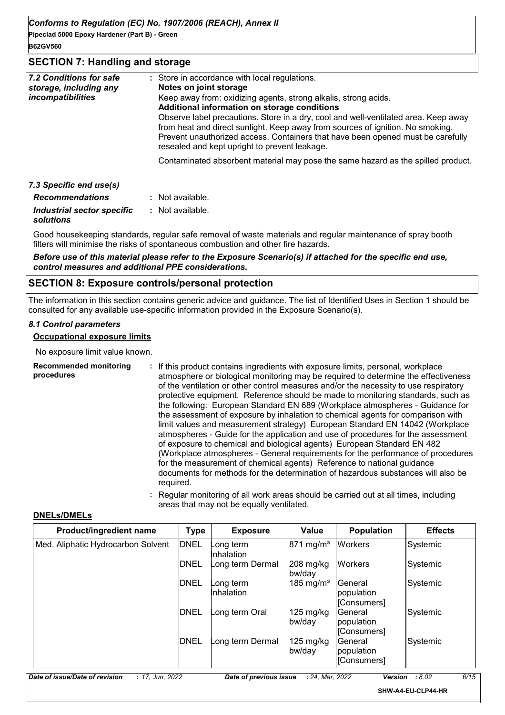**Pipeclad 5000 Epoxy Hardener (Part B) - Green B62GV560**

#### **SECTION 7: Handling and storage**

| 7.2 Conditions for safe    | : Store in accordance with local regulations.                                                                                                                                                                                                                                                                                                                                                                                |
|----------------------------|------------------------------------------------------------------------------------------------------------------------------------------------------------------------------------------------------------------------------------------------------------------------------------------------------------------------------------------------------------------------------------------------------------------------------|
| storage, including any     | Notes on joint storage                                                                                                                                                                                                                                                                                                                                                                                                       |
| incompatibilities          | Keep away from: oxidizing agents, strong alkalis, strong acids.<br>Additional information on storage conditions<br>Observe label precautions. Store in a dry, cool and well-ventilated area. Keep away<br>from heat and direct sunlight. Keep away from sources of ignition. No smoking.<br>Prevent unauthorized access. Containers that have been opened must be carefully<br>resealed and kept upright to prevent leakage. |
|                            | Contaminated absorbent material may pose the same hazard as the spilled product.                                                                                                                                                                                                                                                                                                                                             |
| 7.3 Specific end use(s)    |                                                                                                                                                                                                                                                                                                                                                                                                                              |
| <b>Recommendations</b>     | : Not available.                                                                                                                                                                                                                                                                                                                                                                                                             |
| Industrial sector specific | : Not available.                                                                                                                                                                                                                                                                                                                                                                                                             |

#### *solutions*

Good housekeeping standards, regular safe removal of waste materials and regular maintenance of spray booth filters will minimise the risks of spontaneous combustion and other fire hazards.

*Before use of this material please refer to the Exposure Scenario(s) if attached for the specific end use, control measures and additional PPE considerations.*

#### **SECTION 8: Exposure controls/personal protection**

The information in this section contains generic advice and guidance. The list of Identified Uses in Section 1 should be consulted for any available use-specific information provided in the Exposure Scenario(s).

#### *8.1 Control parameters*

#### **Occupational exposure limits**

No exposure limit value known.

| <b>Recommended monitoring</b><br>procedures | : If this product contains ingredients with exposure limits, personal, workplace<br>atmosphere or biological monitoring may be required to determine the effectiveness<br>of the ventilation or other control measures and/or the necessity to use respiratory<br>protective equipment. Reference should be made to monitoring standards, such as<br>the following: European Standard EN 689 (Workplace atmospheres - Guidance for<br>the assessment of exposure by inhalation to chemical agents for comparison with<br>limit values and measurement strategy) European Standard EN 14042 (Workplace<br>atmospheres - Guide for the application and use of procedures for the assessment<br>of exposure to chemical and biological agents) European Standard EN 482<br>(Workplace atmospheres - General requirements for the performance of procedures<br>for the measurement of chemical agents) Reference to national guidance<br>documents for methods for the determination of hazardous substances will also be<br>required. |
|---------------------------------------------|------------------------------------------------------------------------------------------------------------------------------------------------------------------------------------------------------------------------------------------------------------------------------------------------------------------------------------------------------------------------------------------------------------------------------------------------------------------------------------------------------------------------------------------------------------------------------------------------------------------------------------------------------------------------------------------------------------------------------------------------------------------------------------------------------------------------------------------------------------------------------------------------------------------------------------------------------------------------------------------------------------------------------------|
|---------------------------------------------|------------------------------------------------------------------------------------------------------------------------------------------------------------------------------------------------------------------------------------------------------------------------------------------------------------------------------------------------------------------------------------------------------------------------------------------------------------------------------------------------------------------------------------------------------------------------------------------------------------------------------------------------------------------------------------------------------------------------------------------------------------------------------------------------------------------------------------------------------------------------------------------------------------------------------------------------------------------------------------------------------------------------------------|

**:** Regular monitoring of all work areas should be carried out at all times, including areas that may not be equally ventilated.

#### **DNELs/DMELs**

| Product/ingredient name            | <b>Type</b> | <b>Exposure</b>         | Value                           | <b>Population</b>                    | <b>Effects</b> |
|------------------------------------|-------------|-------------------------|---------------------------------|--------------------------------------|----------------|
| Med. Aliphatic Hydrocarbon Solvent | <b>DNEL</b> | _ong term<br>Inhalation | $871 \text{ mg/m}^3$            | <b>Workers</b>                       | Systemic       |
|                                    | <b>DNEL</b> | Long term Dermal        | $ 208 \text{ mg/kg} $<br>bw/day | <b>Workers</b>                       | Systemic       |
|                                    | <b>DNEL</b> | ong term<br>Inhalation  | 185 mg/m <sup>3</sup>           | General<br>population<br>[Consumers] | Systemic       |
|                                    | <b>DNEL</b> | ong term OralL          | 125 mg/kg<br>bw/dav             | General<br>population<br>[Consumers] | Systemic       |
|                                    | <b>DNEL</b> | ong term Dermal         | 125 mg/kg<br>bw/day             | General<br>population<br>[Consumers] | Systemic       |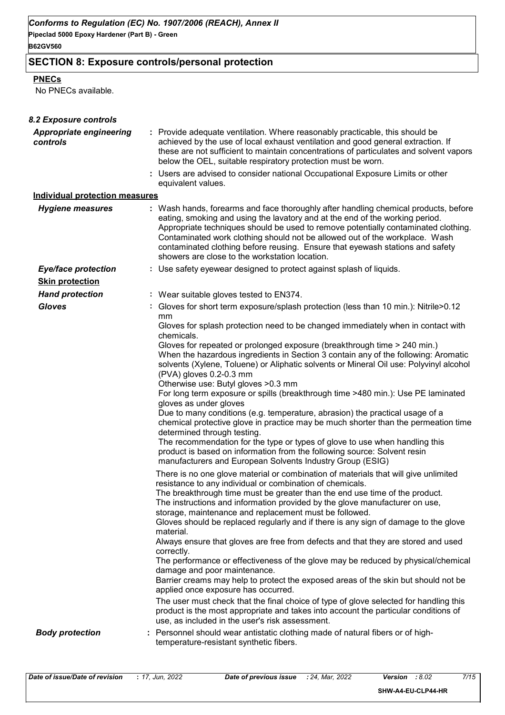**Pipeclad 5000 Epoxy Hardener (Part B) - Green**

## **B62GV560**

## **SECTION 8: Exposure controls/personal protection**

#### **PNECs**

No PNECs available.

| 8.2 Exposure controls                      |                                                                                                                                                                                                                                                                                                                                                                                                                                                                                                                                                                                                                                                                                                      |
|--------------------------------------------|------------------------------------------------------------------------------------------------------------------------------------------------------------------------------------------------------------------------------------------------------------------------------------------------------------------------------------------------------------------------------------------------------------------------------------------------------------------------------------------------------------------------------------------------------------------------------------------------------------------------------------------------------------------------------------------------------|
| <b>Appropriate engineering</b><br>controls | : Provide adequate ventilation. Where reasonably practicable, this should be<br>achieved by the use of local exhaust ventilation and good general extraction. If<br>these are not sufficient to maintain concentrations of particulates and solvent vapors<br>below the OEL, suitable respiratory protection must be worn.<br>: Users are advised to consider national Occupational Exposure Limits or other                                                                                                                                                                                                                                                                                         |
|                                            | equivalent values.                                                                                                                                                                                                                                                                                                                                                                                                                                                                                                                                                                                                                                                                                   |
| <b>Individual protection measures</b>      |                                                                                                                                                                                                                                                                                                                                                                                                                                                                                                                                                                                                                                                                                                      |
| <b>Hygiene measures</b>                    | : Wash hands, forearms and face thoroughly after handling chemical products, before<br>eating, smoking and using the lavatory and at the end of the working period.<br>Appropriate techniques should be used to remove potentially contaminated clothing.<br>Contaminated work clothing should not be allowed out of the workplace. Wash<br>contaminated clothing before reusing. Ensure that eyewash stations and safety<br>showers are close to the workstation location.                                                                                                                                                                                                                          |
| <b>Eye/face protection</b>                 | : Use safety eyewear designed to protect against splash of liquids.                                                                                                                                                                                                                                                                                                                                                                                                                                                                                                                                                                                                                                  |
| <b>Skin protection</b>                     |                                                                                                                                                                                                                                                                                                                                                                                                                                                                                                                                                                                                                                                                                                      |
| <b>Hand protection</b>                     | : Wear suitable gloves tested to EN374.                                                                                                                                                                                                                                                                                                                                                                                                                                                                                                                                                                                                                                                              |
| <b>Gloves</b>                              | : Gloves for short term exposure/splash protection (less than 10 min.): Nitrile>0.12<br>mm<br>Gloves for splash protection need to be changed immediately when in contact with                                                                                                                                                                                                                                                                                                                                                                                                                                                                                                                       |
|                                            | chemicals.                                                                                                                                                                                                                                                                                                                                                                                                                                                                                                                                                                                                                                                                                           |
|                                            | Gloves for repeated or prolonged exposure (breakthrough time > 240 min.)<br>When the hazardous ingredients in Section 3 contain any of the following: Aromatic<br>solvents (Xylene, Toluene) or Aliphatic solvents or Mineral Oil use: Polyvinyl alcohol<br>(PVA) gloves 0.2-0.3 mm<br>Otherwise use: Butyl gloves > 0.3 mm<br>For long term exposure or spills (breakthrough time >480 min.): Use PE laminated                                                                                                                                                                                                                                                                                      |
|                                            | gloves as under gloves<br>Due to many conditions (e.g. temperature, abrasion) the practical usage of a<br>chemical protective glove in practice may be much shorter than the permeation time<br>determined through testing.<br>The recommendation for the type or types of glove to use when handling this<br>product is based on information from the following source: Solvent resin<br>manufacturers and European Solvents Industry Group (ESIG)                                                                                                                                                                                                                                                  |
|                                            | There is no one glove material or combination of materials that will give unlimited<br>resistance to any individual or combination of chemicals.<br>The breakthrough time must be greater than the end use time of the product.<br>The instructions and information provided by the glove manufacturer on use,<br>storage, maintenance and replacement must be followed.<br>Gloves should be replaced regularly and if there is any sign of damage to the glove<br>material.<br>Always ensure that gloves are free from defects and that they are stored and used<br>correctly.<br>The performance or effectiveness of the glove may be reduced by physical/chemical<br>damage and poor maintenance. |
|                                            | Barrier creams may help to protect the exposed areas of the skin but should not be<br>applied once exposure has occurred.<br>The user must check that the final choice of type of glove selected for handling this<br>product is the most appropriate and takes into account the particular conditions of<br>use, as included in the user's risk assessment.                                                                                                                                                                                                                                                                                                                                         |
| <b>Body protection</b>                     | Personnel should wear antistatic clothing made of natural fibers or of high-<br>temperature-resistant synthetic fibers.                                                                                                                                                                                                                                                                                                                                                                                                                                                                                                                                                                              |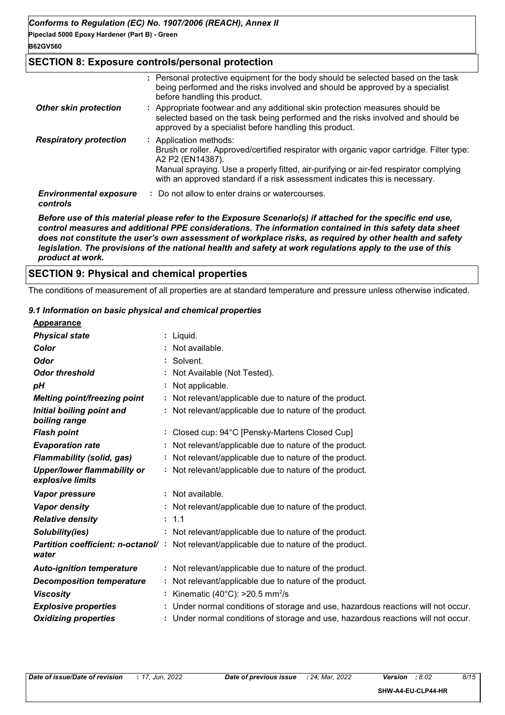**Pipeclad 5000 Epoxy Hardener (Part B) - Green**

**B62GV560**

#### **SECTION 8: Exposure controls/personal protection**

|                                           | : Personal protective equipment for the body should be selected based on the task<br>being performed and the risks involved and should be approved by a specialist<br>before handling this product.                                                                                                             |
|-------------------------------------------|-----------------------------------------------------------------------------------------------------------------------------------------------------------------------------------------------------------------------------------------------------------------------------------------------------------------|
| <b>Other skin protection</b>              | : Appropriate footwear and any additional skin protection measures should be<br>selected based on the task being performed and the risks involved and should be<br>approved by a specialist before handling this product.                                                                                       |
| <b>Respiratory protection</b>             | : Application methods:<br>Brush or roller. Approved/certified respirator with organic vapor cartridge. Filter type:<br>A2 P2 (EN14387).<br>Manual spraying. Use a properly fitted, air-purifying or air-fed respirator complying<br>with an approved standard if a risk assessment indicates this is necessary. |
| <b>Environmental exposure</b><br>controls | : Do not allow to enter drains or watercourses.                                                                                                                                                                                                                                                                 |

*Before use of this material please refer to the Exposure Scenario(s) if attached for the specific end use, control measures and additional PPE considerations. The information contained in this safety data sheet does not constitute the user's own assessment of workplace risks, as required by other health and safety legislation. The provisions of the national health and safety at work regulations apply to the use of this product at work.*

## **SECTION 9: Physical and chemical properties**

The conditions of measurement of all properties are at standard temperature and pressure unless otherwise indicated.

#### *9.1 Information on basic physical and chemical properties*

| <b>Appearance</b>                                      |                                                                                                  |
|--------------------------------------------------------|--------------------------------------------------------------------------------------------------|
| <b>Physical state</b>                                  | : Liquid.                                                                                        |
| Color                                                  | : Not available.                                                                                 |
| <b>Odor</b>                                            | : Solvent.                                                                                       |
| <b>Odor threshold</b>                                  | : Not Available (Not Tested).                                                                    |
| pН                                                     | : Not applicable.                                                                                |
| <b>Melting point/freezing point</b>                    | : Not relevant/applicable due to nature of the product.                                          |
| Initial boiling point and<br>boiling range             | : Not relevant/applicable due to nature of the product.                                          |
| <b>Flash point</b>                                     | : Closed cup: 94°C [Pensky-Martens Closed Cup]                                                   |
| <b>Evaporation rate</b>                                | : Not relevant/applicable due to nature of the product.                                          |
| <b>Flammability (solid, gas)</b>                       | : Not relevant/applicable due to nature of the product.                                          |
| <b>Upper/lower flammability or</b><br>explosive limits | : Not relevant/applicable due to nature of the product.                                          |
| Vapor pressure                                         | : Not available.                                                                                 |
| <b>Vapor density</b>                                   | : Not relevant/applicable due to nature of the product.                                          |
| <b>Relative density</b>                                | : 1.1                                                                                            |
| Solubility(ies)                                        | : Not relevant/applicable due to nature of the product.                                          |
| water                                                  | <b>Partition coefficient: n-octanol/</b> : Not relevant/applicable due to nature of the product. |
| <b>Auto-ignition temperature</b>                       | : Not relevant/applicable due to nature of the product.                                          |
| <b>Decomposition temperature</b>                       | : Not relevant/applicable due to nature of the product.                                          |
| <b>Viscosity</b>                                       | : Kinematic (40°C): $>20.5$ mm <sup>2</sup> /s                                                   |
| <b>Explosive properties</b>                            | : Under normal conditions of storage and use, hazardous reactions will not occur.                |
| <b>Oxidizing properties</b>                            | : Under normal conditions of storage and use, hazardous reactions will not occur.                |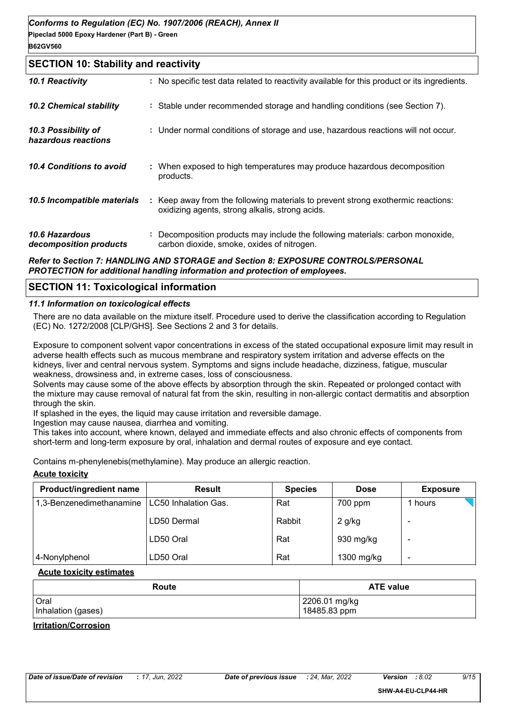#### **SECTION 10: Stability and reactivity**

| 10.1 Reactivity                            | : No specific test data related to reactivity available for this product or its ingredients.                                        |
|--------------------------------------------|-------------------------------------------------------------------------------------------------------------------------------------|
| <b>10.2 Chemical stability</b>             | : Stable under recommended storage and handling conditions (see Section 7).                                                         |
| 10.3 Possibility of<br>hazardous reactions | : Under normal conditions of storage and use, hazardous reactions will not occur.                                                   |
| 10.4 Conditions to avoid                   | : When exposed to high temperatures may produce hazardous decomposition<br>products.                                                |
| 10.5 Incompatible materials                | : Keep away from the following materials to prevent strong exothermic reactions:<br>oxidizing agents, strong alkalis, strong acids. |
| 10.6 Hazardous<br>decomposition products   | : Decomposition products may include the following materials: carbon monoxide,<br>carbon dioxide, smoke, oxides of nitrogen.        |
|                                            |                                                                                                                                     |

#### *Refer to Section 7: HANDLING AND STORAGE and Section 8: EXPOSURE CONTROLS/PERSONAL PROTECTION for additional handling information and protection of employees.*

#### **SECTION 11: Toxicological information**

#### *11.1 Information on toxicological effects*

There are no data available on the mixture itself. Procedure used to derive the classification according to Regulation (EC) No. 1272/2008 [CLP/GHS]. See Sections 2 and 3 for details.

Exposure to component solvent vapor concentrations in excess of the stated occupational exposure limit may result in adverse health effects such as mucous membrane and respiratory system irritation and adverse effects on the kidneys, liver and central nervous system. Symptoms and signs include headache, dizziness, fatigue, muscular weakness, drowsiness and, in extreme cases, loss of consciousness.

Solvents may cause some of the above effects by absorption through the skin. Repeated or prolonged contact with the mixture may cause removal of natural fat from the skin, resulting in non-allergic contact dermatitis and absorption through the skin.

If splashed in the eyes, the liquid may cause irritation and reversible damage.

Ingestion may cause nausea, diarrhea and vomiting.

This takes into account, where known, delayed and immediate effects and also chronic effects of components from short-term and long-term exposure by oral, inhalation and dermal routes of exposure and eye contact.

Contains m-phenylenebis(methylamine). May produce an allergic reaction.

#### **Acute toxicity**

| <b>Product/ingredient name</b> | <b>Result</b>        | <b>Species</b> | <b>Dose</b> | <b>Exposure</b> |
|--------------------------------|----------------------|----------------|-------------|-----------------|
| 1,3-Benzenedimethanamine       | LC50 Inhalation Gas. | Rat            | 700 ppm     | hours           |
|                                | LD50 Dermal          | Rabbit         | $2$ g/kg    |                 |
|                                | LD50 Oral            | Rat            | 930 mg/kg   |                 |
| 4-Nonylphenol                  | LD50 Oral            | Rat            | 1300 mg/kg  |                 |

#### **Acute toxicity estimates**

| Route              | <b>ATE value</b> |
|--------------------|------------------|
| Oral               | 2206.01 mg/kg    |
| Inhalation (gases) | 18485.83 ppm     |

#### **Irritation/Corrosion**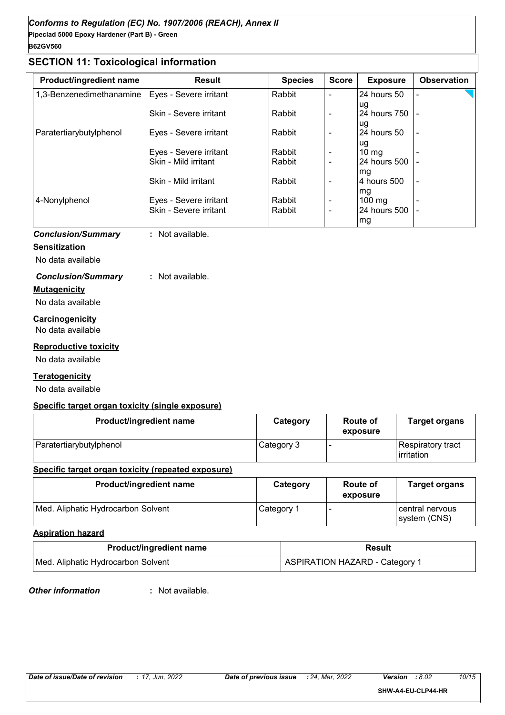## **SECTION 11: Toxicological information**

| <b>Product/ingredient name</b> | <b>Result</b>          | <b>Species</b> | <b>Score</b>   | <b>Exposure</b>  | <b>Observation</b>       |
|--------------------------------|------------------------|----------------|----------------|------------------|--------------------------|
| 1,3-Benzenedimethanamine       | Eyes - Severe irritant | Rabbit         |                | 24 hours 50      |                          |
|                                |                        |                |                | ug               |                          |
|                                | Skin - Severe irritant | Rabbit         | $\blacksquare$ | 124 hours 750 l  |                          |
|                                |                        |                |                | lug              |                          |
| Paratertiarybutylphenol        | Eyes - Severe irritant | Rabbit         |                | 24 hours 50      | $\blacksquare$           |
|                                |                        |                |                | ug               |                          |
|                                | Eyes - Severe irritant | Rabbit         |                | $10 \text{ mg}$  |                          |
|                                | Skin - Mild irritant   | Rabbit         | ٠              | 24 hours 500     |                          |
|                                |                        |                |                | mg               |                          |
|                                | Skin - Mild irritant   | Rabbit         | ٠              | 4 hours 500      |                          |
|                                |                        |                |                | mg               |                          |
| 4-Nonylphenol                  | Eyes - Severe irritant | Rabbit         | ٠              | $100 \text{ mg}$ | $\overline{\phantom{0}}$ |
|                                | Skin - Severe irritant | Rabbit         |                | 24 hours 500     |                          |
|                                |                        |                |                | mg               |                          |

*Conclusion/Summary* **:** Not available.

#### **Sensitization**

No data available

#### *Conclusion/Summary* **:** Not available.

## **Mutagenicity**

No data available

#### **Carcinogenicity**

No data available

#### **Reproductive toxicity**

No data available

#### **Teratogenicity**

No data available

#### **Specific target organ toxicity (single exposure)**

| Product/ingredient name | Category   | Route of<br>exposure | <b>Target organs</b>                    |
|-------------------------|------------|----------------------|-----------------------------------------|
| Paratertiarybutylphenol | Category 3 |                      | Respiratory tract<br><b>lirritation</b> |

#### **Specific target organ toxicity (repeated exposure)**

| Product/ingredient name            | Category   | Route of<br>exposure | <b>Target organs</b>              |
|------------------------------------|------------|----------------------|-----------------------------------|
| Med. Aliphatic Hydrocarbon Solvent | Category 1 |                      | l central nervous<br>system (CNS) |

#### **Aspiration hazard**

| <b>Product/ingredient name</b>     | Result                                |  |
|------------------------------------|---------------------------------------|--|
| Med. Aliphatic Hydrocarbon Solvent | <b>ASPIRATION HAZARD - Category 1</b> |  |

*Other information* **:**

: Not available.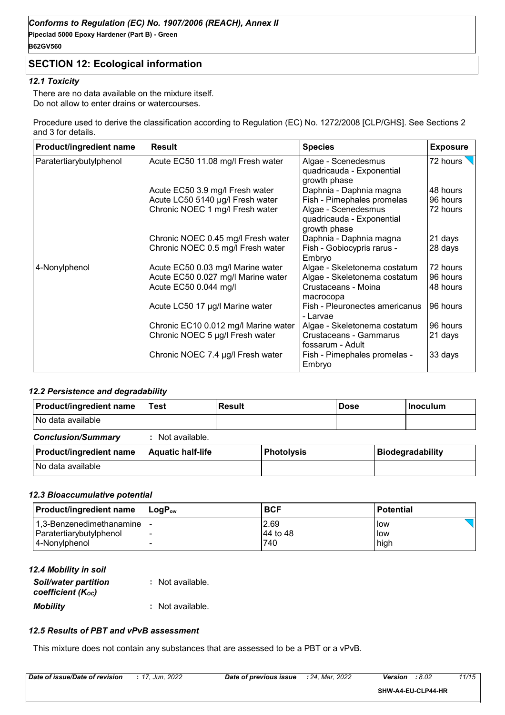## **SECTION 12: Ecological information**

#### *12.1 Toxicity*

There are no data available on the mixture itself. Do not allow to enter drains or watercourses.

Procedure used to derive the classification according to Regulation (EC) No. 1272/2008 [CLP/GHS]. See Sections 2 and 3 for details.

| Product/ingredient name | <b>Result</b>                        | <b>Species</b>                                                   | <b>Exposure</b> |
|-------------------------|--------------------------------------|------------------------------------------------------------------|-----------------|
| Paratertiarybutylphenol | Acute EC50 11.08 mg/l Fresh water    | Algae - Scenedesmus<br>quadricauda - Exponential<br>growth phase | 72 hours        |
|                         | Acute EC50 3.9 mg/l Fresh water      | Daphnia - Daphnia magna                                          | 48 hours        |
|                         | Acute LC50 5140 µg/l Fresh water     | Fish - Pimephales promelas                                       | 96 hours        |
|                         | Chronic NOEC 1 mg/l Fresh water      | Algae - Scenedesmus<br>quadricauda - Exponential<br>growth phase | 72 hours        |
|                         | Chronic NOEC 0.45 mg/l Fresh water   | Daphnia - Daphnia magna                                          | 21 days         |
|                         | Chronic NOEC 0.5 mg/l Fresh water    | Fish - Gobiocypris rarus -<br>Embryo                             | 28 days         |
| 4-Nonylphenol           | Acute EC50 0.03 mg/l Marine water    | Algae - Skeletonema costatum                                     | 72 hours        |
|                         | Acute EC50 0.027 mg/l Marine water   | Algae - Skeletonema costatum                                     | 96 hours        |
|                         | Acute EC50 0.044 mg/l                | Crustaceans - Moina<br>macrocopa                                 | 48 hours        |
|                         | Acute LC50 17 µg/l Marine water      | Fish - Pleuronectes americanus<br>- Larvae                       | 96 hours        |
|                         | Chronic EC10 0.012 mg/l Marine water | Algae - Skeletonema costatum                                     | 96 hours        |
|                         | Chronic NOEC 5 µg/l Fresh water      | Crustaceans - Gammarus<br>fossarum - Adult                       | 21 days         |
|                         | Chronic NOEC 7.4 µg/l Fresh water    | Fish - Pimephales promelas -<br>Embryo                           | 33 days         |

#### *12.2 Persistence and degradability*

| Product/ingredient name   | Test                     | <b>Result</b> |                   | <b>Dose</b> | <b>Inoculum</b>         |
|---------------------------|--------------------------|---------------|-------------------|-------------|-------------------------|
| No data available         |                          |               |                   |             |                         |
| <b>Conclusion/Summary</b> | : Not available.         |               |                   |             |                         |
| Product/ingredient name   | <b>Aquatic half-life</b> |               | <b>Photolysis</b> |             | <b>Biodegradability</b> |
| No data available         |                          |               |                   |             |                         |

#### *12.3 Bioaccumulative potential*

| <b>Product/ingredient name</b> | ⊺LoɑP <sub>ow</sub> | <b>BCF</b> | <b>Potential</b> |
|--------------------------------|---------------------|------------|------------------|
| 1,3-Benzenedimethanamine       |                     | 2.69       | <b>low</b>       |
| Paratertiarybutylphenol        |                     | 44 to 48   | <b>low</b>       |
| 4-Nonylphenol                  |                     | 740        | high             |

| 12.4 Mobility in soil                            |                  |
|--------------------------------------------------|------------------|
| <b>Soil/water partition</b><br>coefficient (Koc) | : Not available. |
| <b>Mobility</b>                                  | : Not available. |

#### *12.5 Results of PBT and vPvB assessment*

This mixture does not contain any substances that are assessed to be a PBT or a vPvB.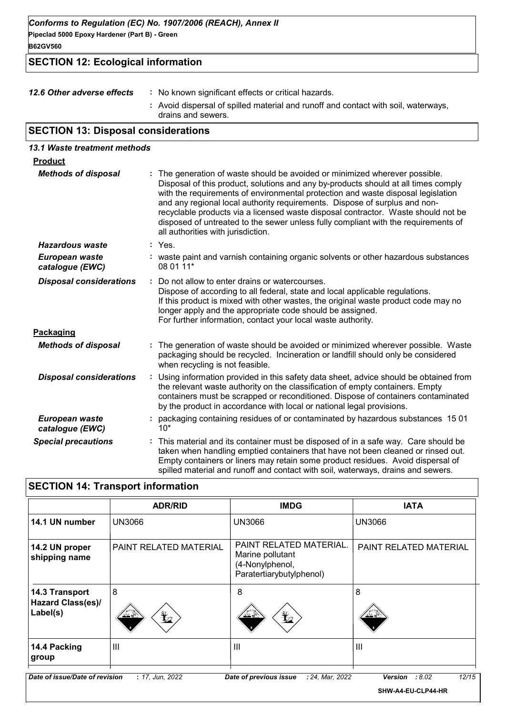*Conforms to Regulation (EC) No. 1907/2006 (REACH), Annex II*

**Pipeclad 5000 Epoxy Hardener (Part B) - Green B62GV560**

## **SECTION 12: Ecological information**

| 12.6 Other adverse effects | : No known significant effects or critical hazards.                                                      |
|----------------------------|----------------------------------------------------------------------------------------------------------|
|                            | : Avoid dispersal of spilled material and runoff and contact with soil, waterways,<br>drains and sewers. |

## **SECTION 13: Disposal considerations**

| 13.1 Waste treatment methods      |                                                                                                                                                                                                                                                                                                                                                                                                                                                                                                                                                    |
|-----------------------------------|----------------------------------------------------------------------------------------------------------------------------------------------------------------------------------------------------------------------------------------------------------------------------------------------------------------------------------------------------------------------------------------------------------------------------------------------------------------------------------------------------------------------------------------------------|
| <b>Product</b>                    |                                                                                                                                                                                                                                                                                                                                                                                                                                                                                                                                                    |
| <b>Methods of disposal</b>        | The generation of waste should be avoided or minimized wherever possible.<br>Disposal of this product, solutions and any by-products should at all times comply<br>with the requirements of environmental protection and waste disposal legislation<br>and any regional local authority requirements. Dispose of surplus and non-<br>recyclable products via a licensed waste disposal contractor. Waste should not be<br>disposed of untreated to the sewer unless fully compliant with the requirements of<br>all authorities with jurisdiction. |
| Hazardous waste                   | : Yes.                                                                                                                                                                                                                                                                                                                                                                                                                                                                                                                                             |
| European waste<br>catalogue (EWC) | : waste paint and varnish containing organic solvents or other hazardous substances<br>08 01 11*                                                                                                                                                                                                                                                                                                                                                                                                                                                   |
| <b>Disposal considerations</b>    | Do not allow to enter drains or watercourses.<br>÷<br>Dispose of according to all federal, state and local applicable regulations.<br>If this product is mixed with other wastes, the original waste product code may no<br>longer apply and the appropriate code should be assigned.<br>For further information, contact your local waste authority.                                                                                                                                                                                              |
| Packaging                         |                                                                                                                                                                                                                                                                                                                                                                                                                                                                                                                                                    |
| <b>Methods of disposal</b>        | : The generation of waste should be avoided or minimized wherever possible. Waste<br>packaging should be recycled. Incineration or landfill should only be considered<br>when recycling is not feasible.                                                                                                                                                                                                                                                                                                                                           |
| <b>Disposal considerations</b>    | Using information provided in this safety data sheet, advice should be obtained from<br>÷.<br>the relevant waste authority on the classification of empty containers. Empty<br>containers must be scrapped or reconditioned. Dispose of containers contaminated<br>by the product in accordance with local or national legal provisions.                                                                                                                                                                                                           |
| European waste<br>catalogue (EWC) | : packaging containing residues of or contaminated by hazardous substances 1501<br>$10*$                                                                                                                                                                                                                                                                                                                                                                                                                                                           |
| <b>Special precautions</b>        | : This material and its container must be disposed of in a safe way. Care should be<br>taken when handling emptied containers that have not been cleaned or rinsed out.<br>Empty containers or liners may retain some product residues. Avoid dispersal of<br>spilled material and runoff and contact with soil, waterways, drains and sewers.                                                                                                                                                                                                     |

## **SECTION 14: Transport information**

|                                                        | <b>ADR/RID</b>                         | <b>IMDG</b>                                                                                | <b>IATA</b>                                     |
|--------------------------------------------------------|----------------------------------------|--------------------------------------------------------------------------------------------|-------------------------------------------------|
| 14.1 UN number                                         | <b>UN3066</b>                          | <b>UN3066</b>                                                                              | <b>UN3066</b>                                   |
| 14.2 UN proper<br>shipping name                        | PAINT RELATED MATERIAL                 | PAINT RELATED MATERIAL.<br>Marine pollutant<br>(4-Nonylphenol,<br>Paratertiarybutylphenol) | PAINT RELATED MATERIAL                          |
| 14.3 Transport<br><b>Hazard Class(es)/</b><br>Label(s) | $\overline{8}$<br>$\bigstar$<br>تے ≚ند | 8<br>$\bigstar$                                                                            | 8<br>کے گئے                                     |
| 14.4 Packing<br>group                                  | $\mathbf{III}$                         | $\mathbf{III}$                                                                             | $\mathbf{III}$                                  |
| Date of issue/Date of revision                         | : 17, Jun, 2022                        | Date of previous issue<br>: 24, Mar, 2022                                                  | 12/15<br>:8.02<br>Version<br>SHW-A4-EU-CLP44-HR |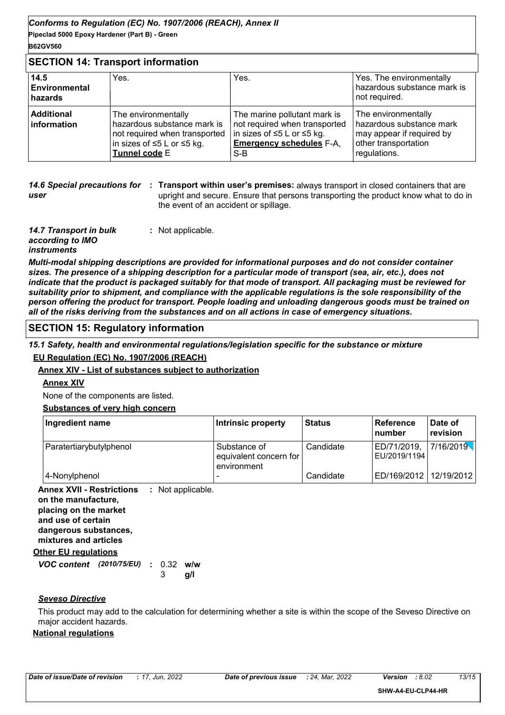#### **B62GV560**

#### **SECTION 14: Transport information**

| 14.5<br><b>Environmental</b><br>hazards | Yes.                                                                                                                                | Yes.                                                                                                                                    | Yes. The environmentally<br>hazardous substance mark is<br>not required.                                             |
|-----------------------------------------|-------------------------------------------------------------------------------------------------------------------------------------|-----------------------------------------------------------------------------------------------------------------------------------------|----------------------------------------------------------------------------------------------------------------------|
| <b>Additional</b><br><b>Information</b> | The environmentally<br>hazardous substance mark is<br>not required when transported<br> in sizes of ≤5 L or ≤5 kg.<br>Tunnel code E | The marine pollutant mark is<br>not required when transported<br>in sizes of ≤5 L or ≤5 kg.<br><b>Emergency schedules F-A.</b><br>$S-B$ | The environmentally<br>hazardous substance mark<br>may appear if required by<br>other transportation<br>regulations. |

**14.6 Special precautions for : Transport within user's premises: always transport in closed containers that are** *user* upright and secure. Ensure that persons transporting the product know what to do in the event of an accident or spillage.

*14.7 Transport in bulk according to IMO instruments* **:** Not applicable.

*Multi-modal shipping descriptions are provided for informational purposes and do not consider container sizes. The presence of a shipping description for a particular mode of transport (sea, air, etc.), does not indicate that the product is packaged suitably for that mode of transport. All packaging must be reviewed for suitability prior to shipment, and compliance with the applicable regulations is the sole responsibility of the person offering the product for transport. People loading and unloading dangerous goods must be trained on all of the risks deriving from the substances and on all actions in case of emergency situations.*

#### **SECTION 15: Regulatory information**

*15.1 Safety, health and environmental regulations/legislation specific for the substance or mixture*

**EU Regulation (EC) No. 1907/2006 (REACH)**

#### **Annex XIV - List of substances subject to authorization**

**Annex XIV**

None of the components are listed.

#### **Substances of very high concern**

| Ingredient name         | Intrinsic property                                    | <b>Status</b> | <b>Reference</b><br>l number | Date of<br>revision |
|-------------------------|-------------------------------------------------------|---------------|------------------------------|---------------------|
| Paratertiarybutylphenol | Substance of<br>equivalent concern for<br>environment | Candidate     | ED/71/2019,<br>EU/2019/1194  | 7/16/2019           |
| 4-Nonylphenol           | -                                                     | Candidate     | ED/169/2012                  | 12/19/2012          |

**Other EU regulations Annex XVII - Restrictions :** Not applicable. **on the manufacture, placing on the market and use of certain dangerous substances, mixtures and articles**

## *VOC content (2010/75/EU)* : 0.32 w/w **g/l** 3

#### *Seveso Directive*

This product may add to the calculation for determining whether a site is within the scope of the Seveso Directive on major accident hazards.

#### **National regulations**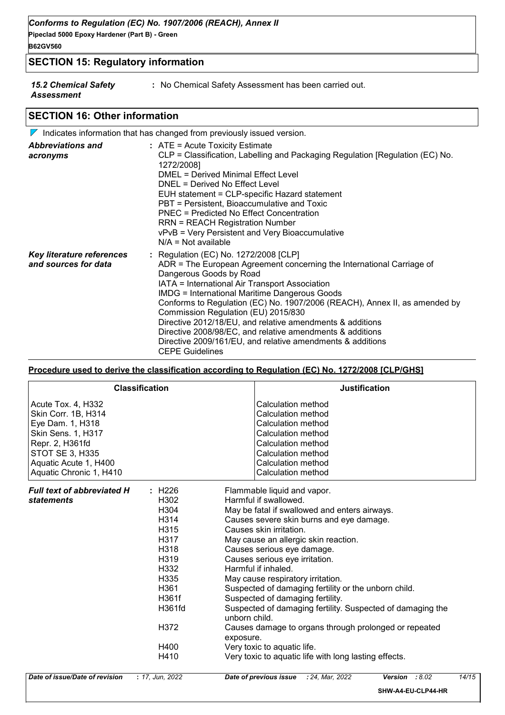**B62GV560**

### **SECTION 15: Regulatory information**

*15.2 Chemical Safety Assessment*

**:** No Chemical Safety Assessment has been carried out.

### **SECTION 16: Other information**

|                                                          | $\triangledown$ Indicates information that has changed from previously issued version.                                                                                                                                                                                                                                                                                                                                                                                                                                                                                                     |
|----------------------------------------------------------|--------------------------------------------------------------------------------------------------------------------------------------------------------------------------------------------------------------------------------------------------------------------------------------------------------------------------------------------------------------------------------------------------------------------------------------------------------------------------------------------------------------------------------------------------------------------------------------------|
| <b>Abbreviations and</b><br>acronyms                     | $:$ ATE = Acute Toxicity Estimate<br>CLP = Classification, Labelling and Packaging Regulation [Regulation (EC) No.<br>1272/2008]<br><b>DMEL = Derived Minimal Effect Level</b><br>DNEL = Derived No Effect Level<br>EUH statement = CLP-specific Hazard statement<br>PBT = Persistent, Bioaccumulative and Toxic<br>PNEC = Predicted No Effect Concentration<br><b>RRN = REACH Registration Number</b><br>vPvB = Very Persistent and Very Bioaccumulative<br>$N/A = Not available$                                                                                                         |
| <b>Key literature references</b><br>and sources for data | : Regulation (EC) No. 1272/2008 [CLP]<br>ADR = The European Agreement concerning the International Carriage of<br>Dangerous Goods by Road<br>IATA = International Air Transport Association<br><b>IMDG = International Maritime Dangerous Goods</b><br>Conforms to Regulation (EC) No. 1907/2006 (REACH), Annex II, as amended by<br>Commission Regulation (EU) 2015/830<br>Directive 2012/18/EU, and relative amendments & additions<br>Directive 2008/98/EC, and relative amendments & additions<br>Directive 2009/161/EU, and relative amendments & additions<br><b>CEPE Guidelines</b> |

#### **Procedure used to derive the classification according to Regulation (EC) No. 1272/2008 [CLP/GHS]**

|                                                                                                                                                                                      | <b>Classification</b>                                                                                                                                                   | <b>Justification</b>                                                                                                                                                                                                                                                                                                                                                                                                                                                                                                                                                                                                                                                                      |
|--------------------------------------------------------------------------------------------------------------------------------------------------------------------------------------|-------------------------------------------------------------------------------------------------------------------------------------------------------------------------|-------------------------------------------------------------------------------------------------------------------------------------------------------------------------------------------------------------------------------------------------------------------------------------------------------------------------------------------------------------------------------------------------------------------------------------------------------------------------------------------------------------------------------------------------------------------------------------------------------------------------------------------------------------------------------------------|
| Acute Tox. 4, H332<br>Skin Corr. 1B, H314<br>Eye Dam. 1, H318<br>Skin Sens. 1, H317<br>Repr. 2, H361fd<br><b>STOT SE 3, H335</b><br>Aquatic Acute 1, H400<br>Aquatic Chronic 1, H410 |                                                                                                                                                                         | Calculation method<br>Calculation method<br>Calculation method<br>Calculation method<br>Calculation method<br>Calculation method<br>Calculation method<br>Calculation method                                                                                                                                                                                                                                                                                                                                                                                                                                                                                                              |
| <b>Full text of abbreviated H</b><br><b>statements</b>                                                                                                                               | : H226<br>H302<br>H <sub>304</sub><br>H <sub>3</sub> 14<br>H315<br>H317<br>H318<br>H <sub>3</sub> 19<br>H332<br>H335<br>H361<br>H361f<br>H361fd<br>H372<br>H400<br>H410 | Flammable liquid and vapor.<br>Harmful if swallowed.<br>May be fatal if swallowed and enters airways.<br>Causes severe skin burns and eye damage.<br>Causes skin irritation.<br>May cause an allergic skin reaction.<br>Causes serious eye damage.<br>Causes serious eye irritation.<br>Harmful if inhaled.<br>May cause respiratory irritation.<br>Suspected of damaging fertility or the unborn child.<br>Suspected of damaging fertility.<br>Suspected of damaging fertility. Suspected of damaging the<br>unborn child.<br>Causes damage to organs through prolonged or repeated<br>exposure.<br>Very toxic to aquatic life.<br>Very toxic to aquatic life with long lasting effects. |
| Date of issue/Date of revision                                                                                                                                                       | : 17, Jun, 2022                                                                                                                                                         | Date of previous issue<br>: 24, Mar, 2022<br>Version : 8.02<br>14/15                                                                                                                                                                                                                                                                                                                                                                                                                                                                                                                                                                                                                      |

**SHW-A4-EU-CLP44-HR**